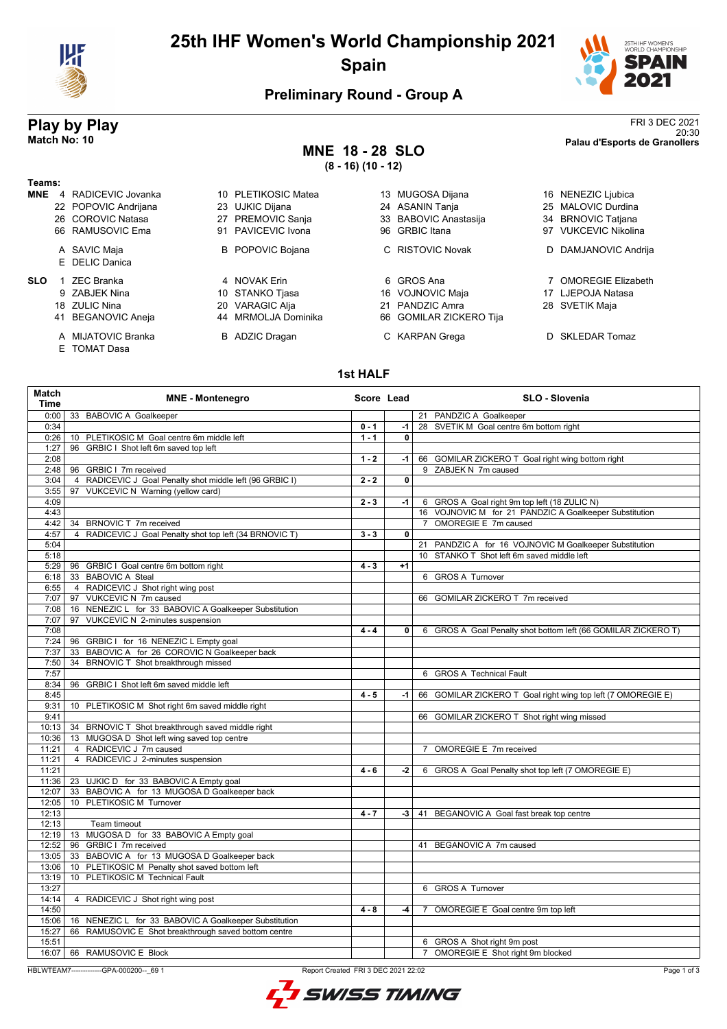

# **25th IHF Women's World Championship 2021 Spain**



## **Preliminary Round - Group A**

E TOMAT Dasa

## **MNE 18 - 28 SLO (8 - 16) (10 - 12)**

**Play by Play**<br><sup>20:30</sup><br>Palau d'Esports de Granollers 20:30 **Match No: 10 Palau d'Esports de Granollers**

| Teams:     |    |                        |    |                         |    |                         |                      |
|------------|----|------------------------|----|-------------------------|----|-------------------------|----------------------|
| <b>MNE</b> |    | 4 RADICEVIC Jovanka    |    | 10 PLETIKOSIC Matea     |    | 13 MUGOSA Dijana        | 16 NENEZIC Ljubica   |
|            |    | 22 POPOVIC Andrijana   |    | 23 UJKIC Dijana         |    | 24 ASANIN Tanja         | 25 MALOVIC Durdina   |
|            |    | 26 COROVIC Natasa      | 27 | <b>PREMOVIC Sanja</b>   |    | 33 BABOVIC Anastasija   | 34 BRNOVIC Tatjana   |
|            |    | 66 RAMUSOVIC Ema       |    | 91 PAVICEVIC Ivona      |    | 96 GRBIC Itana          | 97 VUKCEVIC Nikolina |
|            |    | A SAVIC Maja           |    | <b>B</b> POPOVIC Bojana |    | C RISTOVIC Novak        | D DAMJANOVIC Andrija |
|            |    | E DELIC Danica         |    |                         |    |                         |                      |
| <b>SLO</b> |    | <b>ZEC Branka</b>      |    | 4 NOVAK Erin            |    | 6 GROS Ana              | 7 OMOREGIE Elizabeth |
|            |    | 9 ZABJEK Nina          |    | 10 STANKO Tjasa         |    | 16 VOJNOVIC Maja        | 17 LJEPOJA Natasa    |
|            |    | 18 ZULIC Nina          |    | 20 VARAGIC Alja         | 21 | PANDZIC Amra            | 28 SVETIK Maja       |
|            | 41 | <b>BEGANOVIC Aneja</b> |    | 44 MRMOLJA Dominika     |    | 66 GOMILAR ZICKERO Tija |                      |
|            |    | A MIJATOVIC Branka     |    | <b>B</b> ADZIC Dragan   |    | C KARPAN Grega          | D SKLEDAR Tomaz      |

### **1st HALF**

| Match<br><b>Time</b> | <b>MNE</b> - Montenegro                                                                        | Score Lead |                         | SLO - Slovenia                                                |
|----------------------|------------------------------------------------------------------------------------------------|------------|-------------------------|---------------------------------------------------------------|
| 0:00                 | 33 BABOVIC A Goalkeeper                                                                        |            |                         | 21 PANDZIC A Goalkeeper                                       |
| 0:34                 |                                                                                                | $0 - 1$    | $-1$                    | 28 SVETIK M Goal centre 6m bottom right                       |
| 0:26                 | 10 PLETIKOSIC M Goal centre 6m middle left                                                     | $1 - 1$    | $\mathbf{0}$            |                                                               |
| 1:27                 | 96 GRBIC I Shot left 6m saved top left                                                         |            |                         |                                                               |
| 2:08                 |                                                                                                | $1 - 2$    | -1                      | 66 GOMILAR ZICKERO T Goal right wing bottom right             |
| 2:48                 | 96 GRBIC I 7m received                                                                         |            |                         | 9 ZABJEK N 7m caused                                          |
| 3:04                 | 4 RADICEVIC J Goal Penalty shot middle left (96 GRBIC I)                                       | $2 - 2$    | $\overline{\mathbf{0}}$ |                                                               |
| 3:55                 | 97 VUKCEVIC N Warning (yellow card)                                                            |            |                         |                                                               |
| 4:09                 |                                                                                                | $2 - 3$    | $-1$                    | 6 GROS A Goal right 9m top left (18 ZULIC N)                  |
| 4:43                 |                                                                                                |            |                         | 16 VOJNOVIC M for 21 PANDZIC A Goalkeeper Substitution        |
| 4:42                 | 34 BRNOVIC T 7m received                                                                       |            |                         | 7 OMOREGIE E 7m caused                                        |
| 4:57                 | 4 RADICEVIC J Goal Penalty shot top left (34 BRNOVIC T)                                        | $3 - 3$    | $\overline{0}$          |                                                               |
| 5:04                 |                                                                                                |            |                         | 21 PANDZIC A for 16 VOJNOVIC M Goalkeeper Substitution        |
| 5:18                 |                                                                                                |            |                         | 10 STANKO T Shot left 6m saved middle left                    |
| 5:29                 | 96 GRBIC I Goal centre 6m bottom right                                                         | $4 - 3$    | $+1$                    |                                                               |
| 6:18                 | 33 BABOVIC A Steal                                                                             |            |                         | 6 GROS A Turnover                                             |
| 6:55                 | 4 RADICEVIC J Shot right wing post                                                             |            |                         |                                                               |
| 7:07                 | 97 VUKCEVIC N 7m caused                                                                        |            |                         | 66 GOMILAR ZICKERO T 7m received                              |
| 7:08                 | 16 NENEZIC L for 33 BABOVIC A Goalkeeper Substitution                                          |            |                         |                                                               |
| 7:07                 | 97 VUKCEVIC N 2-minutes suspension                                                             |            |                         |                                                               |
| 7:08                 |                                                                                                | $4 - 4$    | $\mathbf{0}$            | 6 GROS A Goal Penalty shot bottom left (66 GOMILAR ZICKERO T) |
| 7:24                 | 96 GRBIC I for 16 NENEZIC L Empty goal                                                         |            |                         |                                                               |
| 7:37                 | 33 BABOVIC A for 26 COROVIC N Goalkeeper back                                                  |            |                         |                                                               |
| 7:50                 | 34 BRNOVIC T Shot breakthrough missed                                                          |            |                         |                                                               |
| 7:57                 |                                                                                                |            |                         | 6 GROS A Technical Fault                                      |
| 8:34                 | 96 GRBIC I Shot left 6m saved middle left                                                      |            |                         |                                                               |
| 8:45                 |                                                                                                | $4 - 5$    | $-1$                    | 66 GOMILAR ZICKERO T Goal right wing top left (7 OMOREGIE E)  |
| 9:31                 | 10 PLETIKOSIC M Shot right 6m saved middle right                                               |            |                         |                                                               |
| 9:41                 |                                                                                                |            |                         | 66 GOMILAR ZICKERO T Shot right wing missed                   |
| 10:13                | 34 BRNOVIC T Shot breakthrough saved middle right                                              |            |                         |                                                               |
| 10:36                | 13 MUGOSA D Shot left wing saved top centre                                                    |            |                         |                                                               |
| 11:21                | 4 RADICEVIC J 7m caused                                                                        |            |                         | 7 OMOREGIE E 7m received                                      |
| 11:21                | 4 RADICEVIC J 2-minutes suspension                                                             |            |                         |                                                               |
| 11:21                |                                                                                                | $4 - 6$    | $-2$                    | 6 GROS A Goal Penalty shot top left (7 OMOREGIE E)            |
| 11:36                | 23 UJKIC D for 33 BABOVIC A Empty goal                                                         |            |                         |                                                               |
| 12:07                | 33 BABOVIC A for 13 MUGOSA D Goalkeeper back                                                   |            |                         |                                                               |
| 12:05                | 10 PLETIKOSIC M Turnover                                                                       |            |                         |                                                               |
| 12:13                |                                                                                                | $4 - 7$    |                         | -3   41 BEGANOVIC A Goal fast break top centre                |
| 12:13                | Team timeout                                                                                   |            |                         |                                                               |
| 12:19                | 13 MUGOSA D for 33 BABOVIC A Empty goal                                                        |            |                         |                                                               |
| 12:52                | 96 GRBIC   7m received                                                                         |            |                         | 41 BEGANOVIC A 7m caused                                      |
|                      |                                                                                                |            |                         |                                                               |
| 13:05<br>13:06       | 33 BABOVIC A for 13 MUGOSA D Goalkeeper back<br>10 PLETIKOSIC M Penalty shot saved bottom left |            |                         |                                                               |
|                      | 10 PLETIKOSIC M Technical Fault                                                                |            |                         |                                                               |
| 13:19                |                                                                                                |            |                         |                                                               |
| 13:27                |                                                                                                |            |                         | 6 GROS A Turnover                                             |
| 14:14                | 4 RADICEVIC J Shot right wing post                                                             |            |                         |                                                               |
| 14:50                |                                                                                                | $4 - 8$    | $-4$                    | OMOREGIE E Goal centre 9m top left<br>$7^{\circ}$             |
| 15:06                | 16 NENEZIC L for 33 BABOVIC A Goalkeeper Substitution                                          |            |                         |                                                               |
| 15:27                | 66 RAMUSOVIC E Shot breakthrough saved bottom centre                                           |            |                         |                                                               |
| 15:51                |                                                                                                |            |                         | 6 GROS A Shot right 9m post                                   |
| 16:07                | 66 RAMUSOVIC E Block                                                                           |            |                         | OMOREGIE E Shot right 9m blocked<br>$\overline{7}$            |

HBLWTEAM7-------------GPA-000200--\_69 1 Report Created FRI 3 DEC 2021 22:02

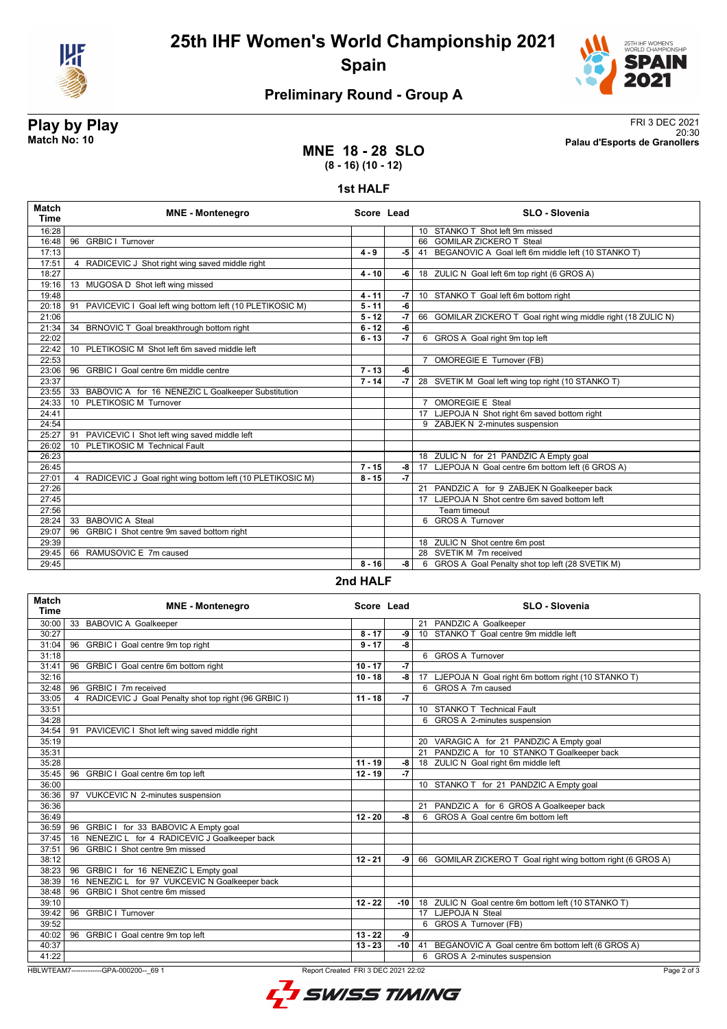

# **25th IHF Women's World Championship 2021 Spain**



# **Preliminary Round - Group A**

**Play by Play**<br>Match No: 10<br>Palau d'Esports de Granollers 20:30 **Match No: 10 Palau d'Esports de Granollers**

### **MNE 18 - 28 SLO (8 - 16) (10 - 12)**

#### **1st HALF**

| 16:28<br>16:48<br>96<br>17:13 | <b>GRBIC   Turnover</b><br>4 RADICEVIC J Shot right wing saved middle right | $4 - 9$  |                 | 10 STANKO T Shot left 9m missed                                |
|-------------------------------|-----------------------------------------------------------------------------|----------|-----------------|----------------------------------------------------------------|
|                               |                                                                             |          |                 |                                                                |
|                               |                                                                             |          |                 | 66 GOMILAR ZICKERO T Steal                                     |
|                               |                                                                             |          | $-5$            | 41 BEGANOVIC A Goal left 6m middle left (10 STANKO T)          |
| 17:51                         |                                                                             |          |                 |                                                                |
| 18:27                         |                                                                             | $4 - 10$ | -6 l            | 18 ZULIC N Goal left 6m top right (6 GROS A)                   |
| 19:16                         | 13 MUGOSA D Shot left wing missed                                           |          |                 |                                                                |
| 19:48                         |                                                                             | $4 - 11$ | $-7$            | 10 STANKO T Goal left 6m bottom right                          |
| 20:18<br>91                   | PAVICEVIC I Goal left wing bottom left (10 PLETIKOSIC M)                    | $5 - 11$ | $-6$            |                                                                |
| 21:06                         |                                                                             | $5 - 12$ | $-7$            | 66 GOMILAR ZICKERO T Goal right wing middle right (18 ZULIC N) |
| 21:34                         | 34 BRNOVIC T Goal breakthrough bottom right                                 | $6 - 12$ | -6              |                                                                |
| 22:02                         |                                                                             | $6 - 13$ | $\overline{.7}$ | 6 GROS A Goal right 9m top left                                |
| 22:42                         | 10 PLETIKOSIC M Shot left 6m saved middle left                              |          |                 |                                                                |
| 22:53                         |                                                                             |          |                 | 7 OMOREGIE E Turnover (FB)                                     |
| 23:06<br>96                   | GRBIC   Goal centre 6m middle centre                                        | $7 - 13$ | -6              |                                                                |
| 23:37                         |                                                                             | $7 - 14$ | $-7$            | 28 SVETIK M Goal left wing top right (10 STANKO T)             |
| 23:55                         | 33 BABOVIC A for 16 NENEZIC L Goalkeeper Substitution                       |          |                 |                                                                |
| 24:33<br>10 <sup>1</sup>      | PLETIKOSIC M Turnover                                                       |          |                 | <b>OMOREGIE E Steal</b>                                        |
| 24:41                         |                                                                             |          |                 | 17 LJEPOJA N Shot right 6m saved bottom right                  |
| 24:54                         |                                                                             |          |                 | 9 ZABJEK N 2-minutes suspension                                |
| 25:27<br>91                   | PAVICEVIC I Shot left wing saved middle left                                |          |                 |                                                                |
| 26:02<br>10 <sup>1</sup>      | PLETIKOSIC M Technical Fault                                                |          |                 |                                                                |
| 26:23                         |                                                                             |          |                 | 18 ZULIC N for 21 PANDZIC A Empty goal                         |
| 26:45                         |                                                                             | $7 - 15$ | $-8$            | 17 LJEPOJA N Goal centre 6m bottom left (6 GROS A)             |
| 27:01                         | 4 RADICEVIC J Goal right wing bottom left (10 PLETIKOSIC M)                 | $8 - 15$ | $\overline{.7}$ |                                                                |
| 27:26                         |                                                                             |          |                 | 21 PANDZIC A for 9 ZABJEK N Goalkeeper back                    |
| 27:45                         |                                                                             |          |                 | 17 LJEPOJA N Shot centre 6m saved bottom left                  |
| 27:56                         |                                                                             |          |                 | Team timeout                                                   |
| 28:24<br>33                   | <b>BABOVIC A Steal</b>                                                      |          |                 | 6 GROS A Turnover                                              |
| 29:07<br>96                   | GRBIC I Shot centre 9m saved bottom right                                   |          |                 |                                                                |
| 29:39                         |                                                                             |          |                 | 18 ZULIC N Shot centre 6m post                                 |
| 29:45                         | 66 RAMUSOVIC E 7m caused                                                    |          |                 | 28 SVETIK M 7m received                                        |
| 29:45                         |                                                                             | $8 - 16$ | -8              | 6 GROS A Goal Penalty shot top left (28 SVETIK M)              |

**2nd HALF**

| <b>Match</b><br><b>Time</b> | <b>MNE - Montenegro</b>                                                                        | Score Lead |       | <b>SLO - Slovenia</b>                                        |  |  |
|-----------------------------|------------------------------------------------------------------------------------------------|------------|-------|--------------------------------------------------------------|--|--|
| 30:00                       | 33 BABOVIC A Goalkeeper                                                                        |            |       | 21 PANDZIC A Goalkeeper                                      |  |  |
| 30:27                       |                                                                                                | $8 - 17$   | -9    | 10 STANKO T Goal centre 9m middle left                       |  |  |
| 31:04                       | 96 GRBIC I Goal centre 9m top right                                                            | $9 - 17$   | -8    |                                                              |  |  |
| 31:18                       |                                                                                                |            |       | 6 GROS A Turnover                                            |  |  |
| 31:41                       | 96 GRBIC I Goal centre 6m bottom right                                                         | $10 - 17$  | $-7$  |                                                              |  |  |
| 32:16                       |                                                                                                | $10 - 18$  | -8    | 17 LJEPOJA N Goal right 6m bottom right (10 STANKO T)        |  |  |
| 32:48                       | GRBIC   7m received<br>96                                                                      |            |       | 6 GROS A 7m caused                                           |  |  |
| 33:05                       | 4 RADICEVIC J Goal Penalty shot top right (96 GRBIC I)                                         | $11 - 18$  | $-7$  |                                                              |  |  |
| 33:51                       |                                                                                                |            |       | 10 STANKO T Technical Fault                                  |  |  |
| 34:28                       |                                                                                                |            |       | 6 GROS A 2-minutes suspension                                |  |  |
| 34:54                       | 91 PAVICEVIC I Shot left wing saved middle right                                               |            |       |                                                              |  |  |
| 35:19                       |                                                                                                |            |       | 20 VARAGIC A for 21 PANDZIC A Empty goal                     |  |  |
| 35:31                       |                                                                                                |            |       | 21 PANDZIC A for 10 STANKO T Goalkeeper back                 |  |  |
| 35:28                       |                                                                                                | $11 - 19$  | -8    | 18 ZULIC N Goal right 6m middle left                         |  |  |
| 35:45                       | 96 GRBIC I Goal centre 6m top left                                                             | $12 - 19$  | $-7$  |                                                              |  |  |
| 36:00                       |                                                                                                |            |       | 10 STANKO T for 21 PANDZIC A Empty goal                      |  |  |
| 36:36                       | 97 VUKCEVIC N 2-minutes suspension                                                             |            |       |                                                              |  |  |
| 36:36                       |                                                                                                |            |       | 21 PANDZIC A for 6 GROS A Goalkeeper back                    |  |  |
| 36:49                       |                                                                                                | $12 - 20$  | -8    | 6 GROS A Goal centre 6m bottom left                          |  |  |
| 36:59                       | 96 GRBIC I for 33 BABOVIC A Empty goal                                                         |            |       |                                                              |  |  |
| 37:45                       | 16 NENEZIC L for 4 RADICEVIC J Goalkeeper back                                                 |            |       |                                                              |  |  |
| 37:51                       | 96 GRBIC I Shot centre 9m missed                                                               |            |       |                                                              |  |  |
| 38:12                       |                                                                                                | $12 - 21$  | -9    | 66 GOMILAR ZICKERO T Goal right wing bottom right (6 GROS A) |  |  |
| 38:23                       | 96 GRBIC I for 16 NENEZIC L Empty goal                                                         |            |       |                                                              |  |  |
| 38:39                       | NENEZIC L for 97 VUKCEVIC N Goalkeeper back<br>16                                              |            |       |                                                              |  |  |
| 38:48                       | GRBIC   Shot centre 6m missed<br>96                                                            |            |       |                                                              |  |  |
| 39:10                       |                                                                                                | $12 - 22$  | $-10$ | 18 ZULIC N Goal centre 6m bottom left (10 STANKO T)          |  |  |
| 39:42                       | 96 GRBIC   Turnover                                                                            |            |       | 17 LJEPOJA N Steal                                           |  |  |
| 39:52                       |                                                                                                |            |       | 6 GROS A Turnover (FB)                                       |  |  |
| 40:02                       | 96 GRBIC I Goal centre 9m top left                                                             | $13 - 22$  | -9    |                                                              |  |  |
| 40:37                       |                                                                                                | $13 - 23$  | $-10$ | BEGANOVIC A Goal centre 6m bottom left (6 GROS A)<br>41      |  |  |
| 41:22                       |                                                                                                |            |       | 6 GROS A 2-minutes suspension                                |  |  |
|                             | HBLWTEAM7--------------GPA-000200-- 69 1<br>Report Created FRI 3 DEC 2021 22:02<br>Page 2 of 3 |            |       |                                                              |  |  |